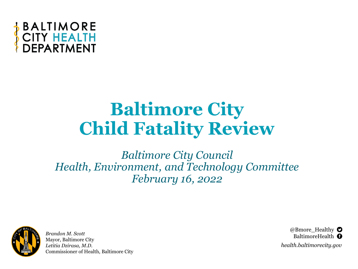

### **Baltimore City Child Fatality Review**

*Baltimore City Council Health, Environment, and Technology Committee February 16, 2022*



*Brandon M. Scott* Mayor, Baltimore City *Letitia Dzirasa, M.D.* Commissioner of Health, Baltimore City

@Bmore\_Healthy  $\bullet$ BaltimoreHealth **O** *health.baltimorecity.gov*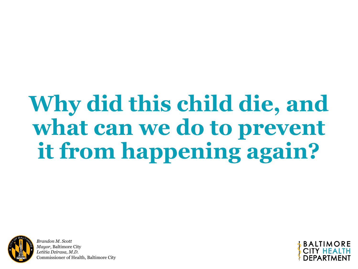# **Why did this child die, and**  what can we do to prevent **it from happening again?**



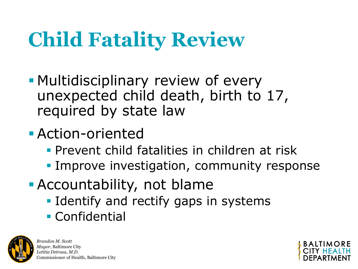# **Child Fatality Review**

- **Multidisciplinary review of every** unexpected child death, birth to 17, required by state law
- **Action-oriented** 
	- **Prevent child fatalities in children at risk**
	- **.** Improve investigation, community response
- **Accountability, not blame** 
	- **.** Identify and rectify gaps in systems
	- **Confidential**



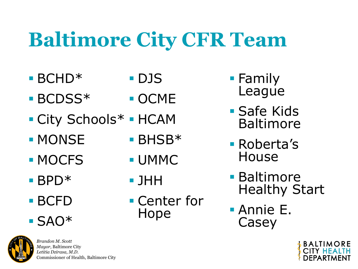# **Baltimore City CFR Team**

**UMMC** 

Hope

**• Center for** 

■ JHH

- $\blacksquare$  BCHD<sup>\*</sup> ▪ DJS
- BCDSS<sup>\*</sup> ■ OCME
- City Schools\* ■ HCAM
- MONSE ■ BHSB<sup>\*</sup>
- MOCFS
- BPD<sup>\*</sup>
- BCFD
- SAO\*



- Family League
- **Safe Kids** Baltimore
- Roberta's House
- **Baltimore** Healthy Start
- Annie E. Casey

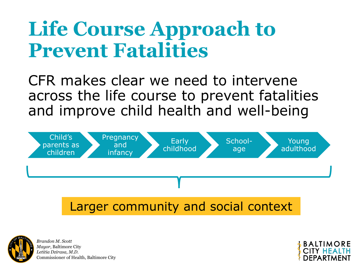## **Life Course Approach to Prevent Fatalities**

CFR makes clear we need to intervene across the life course to prevent fatalities and improve child health and well-being





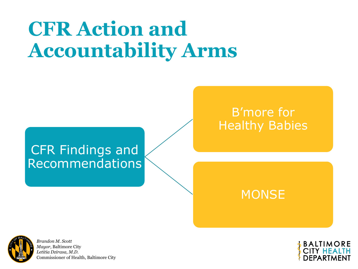# **CFR Action and Accountability Arms**

#### CFR Findings and Recommendations

#### B'more for Healthy Babies

#### **MONSE**



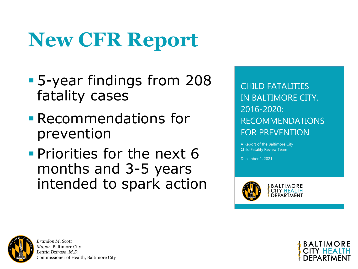# **New CFR Report**

- 5-year findings from 208 fatality cases
- **Execommendations for** prevention
- **Priorities for the next 6** months and 3-5 years intended to spark action

**CHILD FATALITIES** IN BALTIMORE CITY, 2016-2020: **RECOMMENDATIONS FOR PREVENTION** 

A Report of the Baltimore City **Child Fatality Review Team** 

December 1, 2021



**BALTIMORE** 



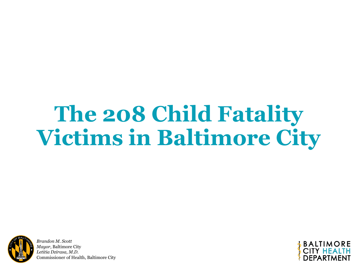# **The 208 Child Fatality Victims in Baltimore City**



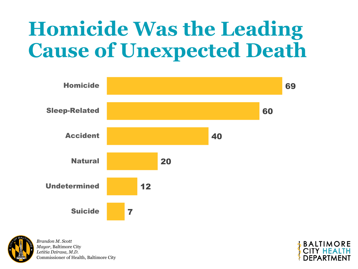# **Homicide Was the Leading Cause of Unexpected Death**





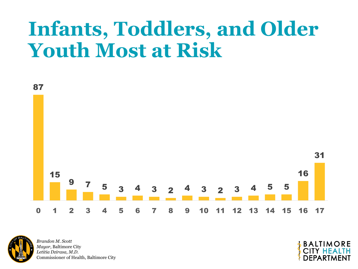## **Infants, Toddlers, and Older Youth Most at Risk**



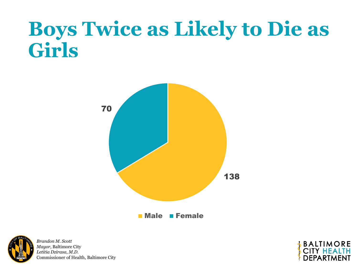## **Boys Twice as Likely to Die as Girls**





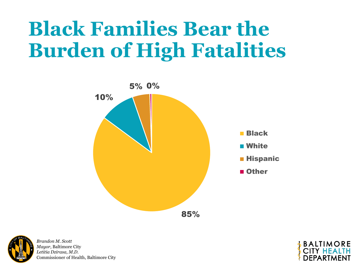# **Black Families Bear the Burden of High Fatalities**





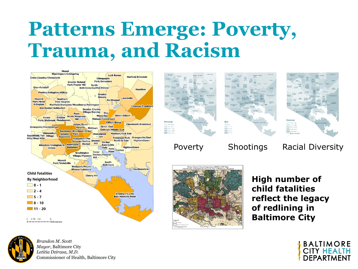## **Patterns Emerge: Poverty, Trauma, and Racism**









Poverty Shootings Racial Diversity



**High number of child fatalities reflect the legacy of redlining in Baltimore City**



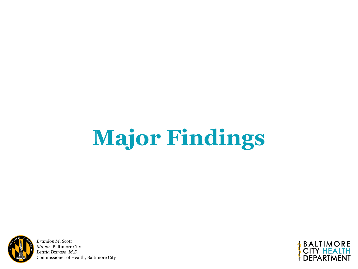# **Major Findings**



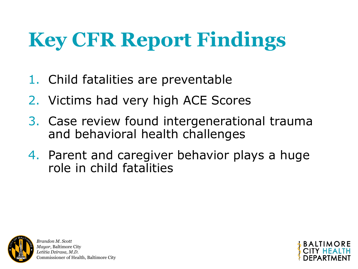# **Key CFR Report Findings**

- 1. Child fatalities are preventable
- 2. Victims had very high ACE Scores
- 3. Case review found intergenerational trauma and behavioral health challenges
- 4. Parent and caregiver behavior plays a huge role in child fatalities



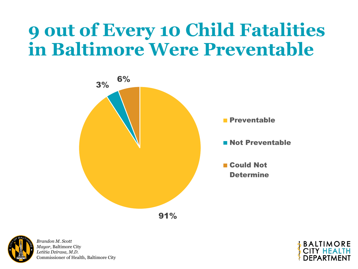### **9 out of Every 10 Child Fatalities in Baltimore Were Preventable**





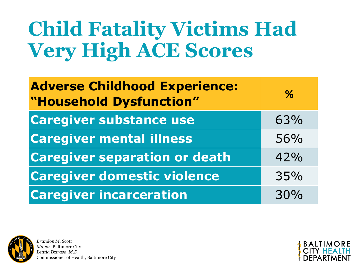# **Child Fatality Victims Had Very High ACE Scores**

| <b>Adverse Childhood Experience:</b><br>"Household Dysfunction" | $\%$ |
|-----------------------------------------------------------------|------|
| <b>Caregiver substance use</b>                                  | 63%  |
| <b>Caregiver mental illness</b>                                 | 56%  |
| <b>Caregiver separation or death</b>                            | 42%  |
| <b>Caregiver domestic violence</b>                              | 35%  |
| <b>Caregiver incarceration</b>                                  | 30%  |



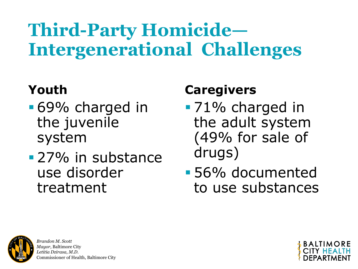## **Third-Party Homicide— Intergenerational Challenges**

### **Youth**

- 69% charged in the juvenile system
- **27% in substance** use disorder treatment

### **Caregivers**

- **•71%** charged in the adult system (49% for sale of drugs)
- 56% documented to use substances



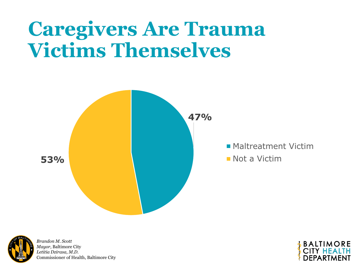## **Caregivers Are Trauma Victims Themselves**





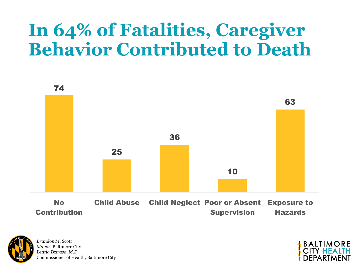### **In 64% of Fatalities, Caregiver Behavior Contributed to Death**





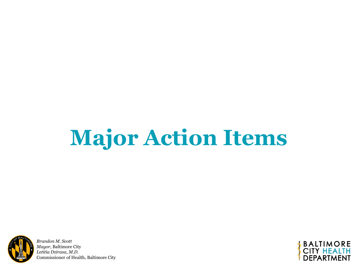# **Major Action Items**



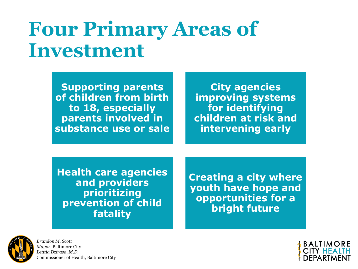## **Four Primary Areas of Investment**

**Supporting parents of children from birth to 18, especially parents involved in substance use or sale**

**City agencies improving systems for identifying children at risk and intervening early** 

**Health care agencies and providers prioritizing prevention of child fatality**

**Creating a city where youth have hope and opportunities for a bright future**



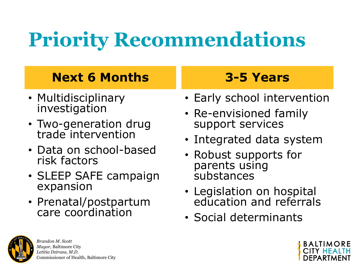# **Priority Recommendations**

#### **Next 6 Months**

- Multidisciplinary investigation
- Two-generation drug trade intervention
- Data on school-based risk factors
- SLEEP SAFE campaign expansion
- Prenatal/postpartum care coordination

### **3-5 Years**

- Early school intervention
- Re-envisioned family support services
- Integrated data system
- Robust supports for parents using substances
- Legislation on hospital education and referrals
- Social determinants